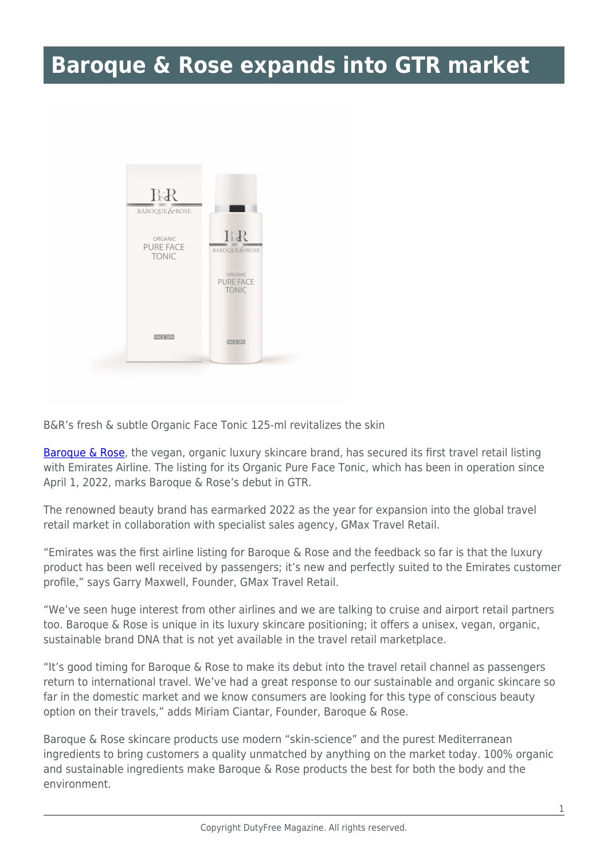## **Baroque & Rose expands into GTR market**



B&R's fresh & subtle Organic Face Tonic 125-ml revitalizes the skin

[Baroque & Rose](https://baroqueandrose.com/), the vegan, organic luxury skincare brand, has secured its first travel retail listing with Emirates Airline. The listing for its Organic Pure Face Tonic, which has been in operation since April 1, 2022, marks Baroque & Rose's debut in GTR.

The renowned beauty brand has earmarked 2022 as the year for expansion into the global travel retail market in collaboration with specialist sales agency, GMax Travel Retail.

"Emirates was the first airline listing for Baroque & Rose and the feedback so far is that the luxury product has been well received by passengers; it's new and perfectly suited to the Emirates customer profile," says Garry Maxwell, Founder, GMax Travel Retail.

"We've seen huge interest from other airlines and we are talking to cruise and airport retail partners too. Baroque & Rose is unique in its luxury skincare positioning; it offers a unisex, vegan, organic, sustainable brand DNA that is not yet available in the travel retail marketplace.

"It's good timing for Baroque & Rose to make its debut into the travel retail channel as passengers return to international travel. We've had a great response to our sustainable and organic skincare so far in the domestic market and we know consumers are looking for this type of conscious beauty option on their travels," adds Miriam Ciantar, Founder, Baroque & Rose.

Baroque & Rose skincare products use modern "skin-science" and the purest Mediterranean ingredients to bring customers a quality unmatched by anything on the market today. 100% organic and sustainable ingredients make Baroque & Rose products the best for both the body and the environment.